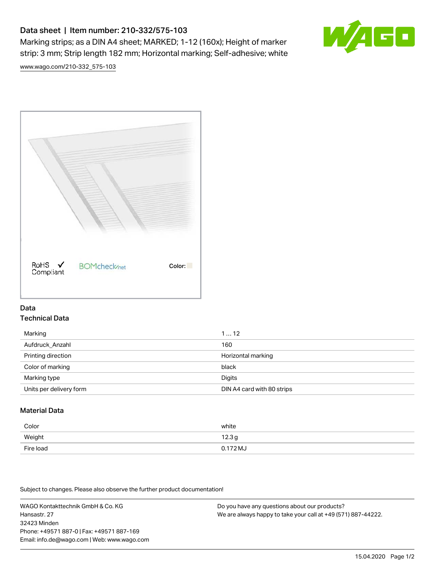# Data sheet | Item number: 210-332/575-103

Marking strips; as a DIN A4 sheet; MARKED; 1-12 (160x); Height of marker strip: 3 mm; Strip length 182 mm; Horizontal marking; Self-adhesive; white



[www.wago.com/210-332\\_575-103](http://www.wago.com/210-332_575-103)



### Data Technical Data

| Marking                 | 112                        |
|-------------------------|----------------------------|
| Aufdruck_Anzahl         | 160                        |
| Printing direction      | Horizontal marking         |
| Color of marking        | black                      |
| Marking type            | Digits                     |
| Units per delivery form | DIN A4 card with 80 strips |

## Material Data

| Color     | white             |
|-----------|-------------------|
| Weight    | 12.3 <sub>g</sub> |
| Fire load | $0.172 M_J$       |

Subject to changes. Please also observe the further product documentation!

WAGO Kontakttechnik GmbH & Co. KG Hansastr. 27 32423 Minden Phone: +49571 887-0 | Fax: +49571 887-169 Email: info.de@wago.com | Web: www.wago.com Do you have any questions about our products? We are always happy to take your call at +49 (571) 887-44222.